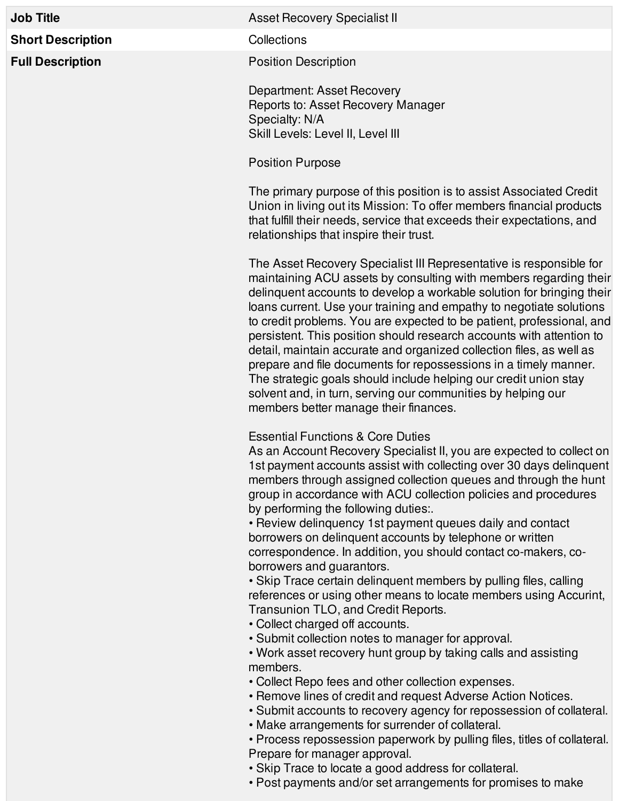**Short Description** Collections

## **Job Title Asset Recovery Specialist II**

**Full Description Position Position** Description

Department: Asset Recovery Reports to: Asset Recovery Manager Specialty: N/A Skill Levels: Level II, Level III

Position Purpose

The primary purpose of this position is to assist Associated Credit Union in living out its Mission: To offer members financial products that fulfill their needs, service that exceeds their expectations, and relationships that inspire their trust.

The Asset Recovery Specialist III Representative is responsible for maintaining ACU assets by consulting with members regarding their delinquent accounts to develop a workable solution for bringing their loans current. Use your training and empathy to negotiate solutions to credit problems. You are expected to be patient, professional, and persistent. This position should research accounts with attention to detail, maintain accurate and organized collection files, as well as prepare and file documents for repossessions in a timely manner. The strategic goals should include helping our credit union stay solvent and, in turn, serving our communities by helping our members better manage their finances.

## Essential Functions & Core Duties

As an Account Recovery Specialist II, you are expected to collect on 1st payment accounts assist with collecting over 30 days delinquent members through assigned collection queues and through the hunt group in accordance with ACU collection policies and procedures by performing the following duties:.

• Review delinquency 1st payment queues daily and contact borrowers on delinquent accounts by telephone or written correspondence. In addition, you should contact co-makers, coborrowers and guarantors.

• Skip Trace certain delinquent members by pulling files, calling references or using other means to locate members using Accurint, Transunion TLO, and Credit Reports.

- Collect charged off accounts.
- Submit collection notes to manager for approval.

• Work asset recovery hunt group by taking calls and assisting members.

- Collect Repo fees and other collection expenses.
- Remove lines of credit and request Adverse Action Notices.
- Submit accounts to recovery agency for repossession of collateral.
- Make arrangements for surrender of collateral.

• Process repossession paperwork by pulling files, titles of collateral. Prepare for manager approval.

- Skip Trace to locate a good address for collateral.
- Post payments and/or set arrangements for promises to make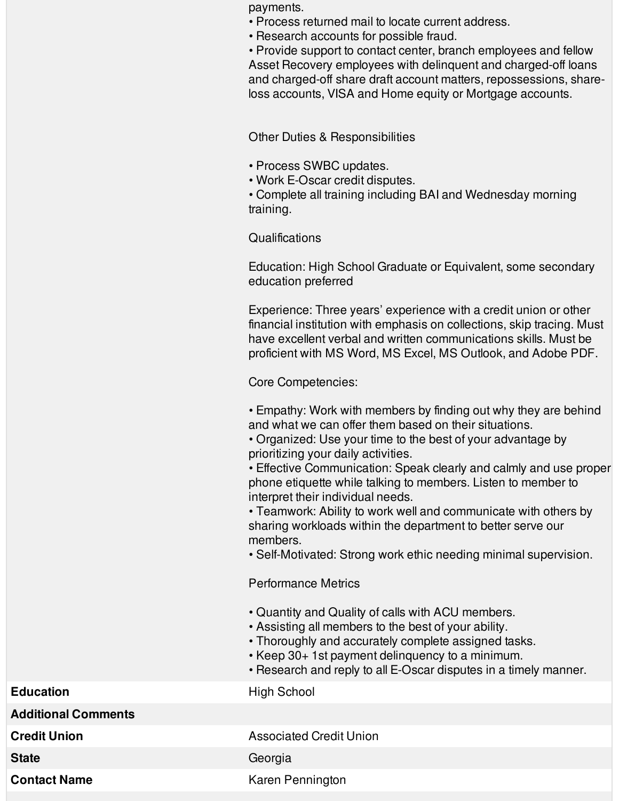payments.

- Process returned mail to locate current address.
- Research accounts for possible fraud.

• Provide support to contact center, branch employees and fellow Asset Recovery employees with delinquent and charged-off loans and charged-off share draft account matters, repossessions, shareloss accounts, VISA and Home equity or Mortgage accounts.

Other Duties & Responsibilities

- Process SWBC updates.
- Work E-Oscar credit disputes.

• Complete all training including BAI and Wednesday morning training.

**Qualifications** 

Education: High School Graduate or Equivalent, some secondary education preferred

Experience: Three years' experience with a credit union or other financial institution with emphasis on collections, skip tracing. Must have excellent verbal and written communications skills. Must be proficient with MS Word, MS Excel, MS Outlook, and Adobe PDF.

Core Competencies:

• Empathy: Work with members by finding out why they are behind and what we can offer them based on their situations.

• Organized: Use your time to the best of your advantage by prioritizing your daily activities.

• Effective Communication: Speak clearly and calmly and use proper phone etiquette while talking to members. Listen to member to interpret their individual needs.

• Teamwork: Ability to work well and communicate with others by sharing workloads within the department to better serve our members.

• Self-Motivated: Strong work ethic needing minimal supervision.

Performance Metrics

- Quantity and Quality of calls with ACU members.
- Assisting all members to the best of your ability.
- Thoroughly and accurately complete assigned tasks.
- Keep 30+ 1st payment delinquency to a minimum.
- Research and reply to all E-Oscar disputes in a timely manner.

**Education** High School

**Additional Comments**

**Credit Union Credit Union** 

State **Georgia** 

**Contact Name** Karen Pennington